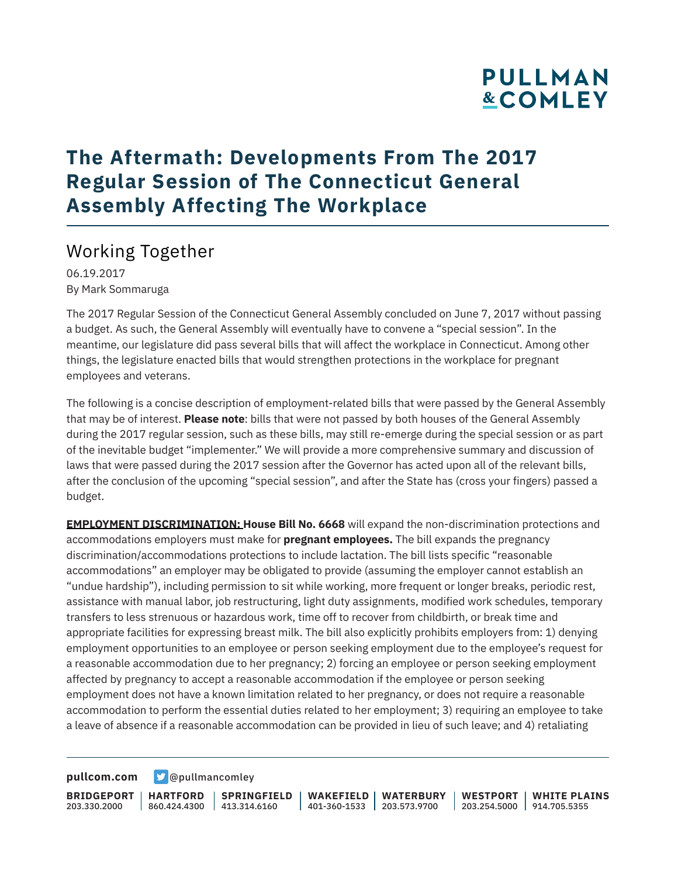# **PULLMAN &COMLEY**

# **The Aftermath: Developments From The 2017 Regular Session of The Connecticut General Assembly Affecting The Workplace**

### Working Together

06.19.2017 By Mark Sommaruga

The 2017 Regular Session of the Connecticut General Assembly concluded on June 7, 2017 without passing a budget. As such, the General Assembly will eventually have to convene a "special session". In the meantime, our legislature did pass several bills that will affect the workplace in Connecticut. Among other things, the legislature enacted bills that would strengthen protections in the workplace for pregnant employees and veterans.

The following is a concise description of employment-related bills that were passed by the General Assembly that may be of interest. **Please note**: bills that were not passed by both houses of the General Assembly during the 2017 regular session, such as these bills, may still re-emerge during the special session or as part of the inevitable budget "implementer." We will provide a more comprehensive summary and discussion of laws that were passed during the 2017 session after the Governor has acted upon all of the relevant bills, after the conclusion of the upcoming "special session", and after the State has (cross your fingers) passed a budget.

**EMPLOYMENT DISCRIMINATION: House Bill No. 6668** will expand the non-discrimination protections and accommodations employers must make for **pregnant employees.** The bill expands the pregnancy discrimination/accommodations protections to include lactation. The bill lists specific "reasonable accommodations" an employer may be obligated to provide (assuming the employer cannot establish an "undue hardship"), including permission to sit while working, more frequent or longer breaks, periodic rest, assistance with manual labor, job restructuring, light duty assignments, modified work schedules, temporary transfers to less strenuous or hazardous work, time off to recover from childbirth, or break time and appropriate facilities for expressing breast milk. The bill also explicitly prohibits employers from: 1) denying employment opportunities to an employee or person seeking employment due to the employee's request for a reasonable accommodation due to her pregnancy; 2) forcing an employee or person seeking employment affected by pregnancy to accept a reasonable accommodation if the employee or person seeking employment does not have a known limitation related to her pregnancy, or does not require a reasonable accommodation to perform the essential duties related to her employment; 3) requiring an employee to take a leave of absence if a reasonable accommodation can be provided in lieu of such leave; and 4) retaliating

**[pullcom.com](https://www.pullcom.com) g** [@pullmancomley](https://twitter.com/PullmanComley)

**BRIDGEPORT HARTFORD** 203.330.2000

860.424.4300 413.314.6160 **SPRINGFIELD**

**WAKEFIELD WATERBURY** 401-360-1533 203.573.9700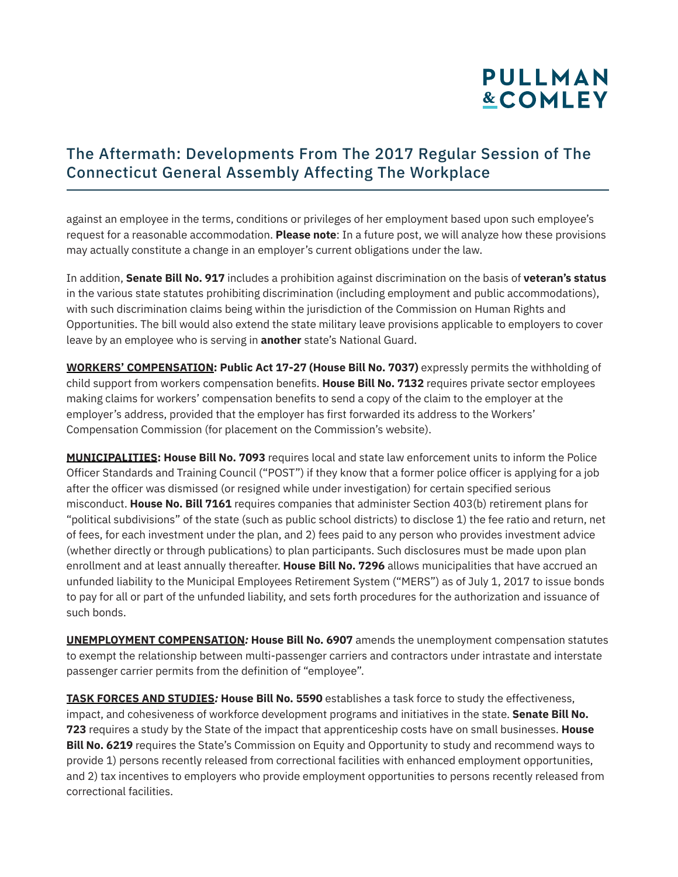# **PULLMAN &COMLEY**

### The Aftermath: Developments From The 2017 Regular Session of The Connecticut General Assembly Affecting The Workplace

against an employee in the terms, conditions or privileges of her employment based upon such employee's request for a reasonable accommodation. **Please note**: In a future post, we will analyze how these provisions may actually constitute a change in an employer's current obligations under the law.

In addition, **Senate Bill No. 917** includes a prohibition against discrimination on the basis of **veteran's status** in the various state statutes prohibiting discrimination (including employment and public accommodations), with such discrimination claims being within the jurisdiction of the Commission on Human Rights and Opportunities. The bill would also extend the state military leave provisions applicable to employers to cover leave by an employee who is serving in **another** state's National Guard.

**WORKERS' COMPENSATION: Public Act 17-27 (House Bill No. 7037)** expressly permits the withholding of child support from workers compensation benefits. **House Bill No. 7132** requires private sector employees making claims for workers' compensation benefits to send a copy of the claim to the employer at the employer's address, provided that the employer has first forwarded its address to the Workers' Compensation Commission (for placement on the Commission's website).

**MUNICIPALITIES: House Bill No. 7093** requires local and state law enforcement units to inform the Police Officer Standards and Training Council ("POST") if they know that a former police officer is applying for a job after the officer was dismissed (or resigned while under investigation) for certain specified serious misconduct. **House No. Bill 7161** requires companies that administer Section 403(b) retirement plans for "political subdivisions" of the state (such as public school districts) to disclose 1) the fee ratio and return, net of fees, for each investment under the plan, and 2) fees paid to any person who provides investment advice (whether directly or through publications) to plan participants. Such disclosures must be made upon plan enrollment and at least annually thereafter. **House Bill No. 7296** allows municipalities that have accrued an unfunded liability to the Municipal Employees Retirement System ("MERS") as of July 1, 2017 to issue bonds to pay for all or part of the unfunded liability, and sets forth procedures for the authorization and issuance of such bonds.

**UNEMPLOYMENT COMPENSATION***:* **House Bill No. 6907** amends the unemployment compensation statutes to exempt the relationship between multi-passenger carriers and contractors under intrastate and interstate passenger carrier permits from the definition of "employee".

**TASK FORCES AND STUDIES***:* **House Bill No. 5590** establishes a task force to study the effectiveness, impact, and cohesiveness of workforce development programs and initiatives in the state. **Senate Bill No. 723** requires a study by the State of the impact that apprenticeship costs have on small businesses. **House Bill No. 6219** requires the State's Commission on Equity and Opportunity to study and recommend ways to provide 1) persons recently released from correctional facilities with enhanced employment opportunities, and 2) tax incentives to employers who provide employment opportunities to persons recently released from correctional facilities.